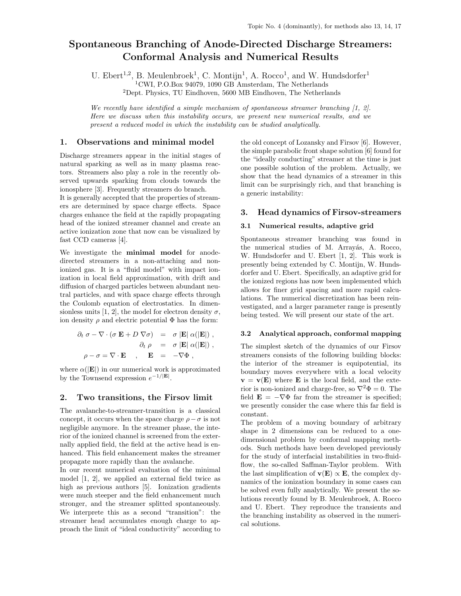# Spontaneous Branching of Anode-Directed Discharge Streamers: Conformal Analysis and Numerical Results

U. Ebert<sup>1,2</sup>, B. Meulenbroek<sup>1</sup>, C. Montijn<sup>1</sup>, A. Rocco<sup>1</sup>, and W. Hundsdorfer<sup>1</sup>

<sup>1</sup>CWI, P.O.Box 94079, 1090 GB Amsterdam, The Netherlands

<sup>2</sup>Dept. Physics, TU Eindhoven, 5600 MB Eindhoven, The Netherlands

We recently have identified a simple mechanism of spontaneous streamer branching  $(1, 2)$ . Here we discuss when this instability occurs, we present new numerical results, and we present a reduced model in which the instability can be studied analytically.

## 1. Observations and minimal model

Discharge streamers appear in the initial stages of natural sparking as well as in many plasma reactors. Streamers also play a role in the recently observed upwards sparking from clouds towards the ionosphere [3]. Frequently streamers do branch.

It is generally accepted that the properties of streamers are determined by space charge effects. Space charges enhance the field at the rapidly propagating head of the ionized streamer channel and create an active ionization zone that now can be visualized by fast CCD cameras [4].

We investigate the minimal model for anodedirected streamers in a non-attaching and nonionized gas. It is a "fluid model" with impact ionization in local field approximation, with drift and diffusion of charged particles between abundant neutral particles, and with space charge effects through the Coulomb equation of electrostatics. In dimensionless units [1, 2], the model for electron density  $\sigma$ , ion density  $\rho$  and electric potential  $\Phi$  has the form:

$$
\partial_t \sigma - \nabla \cdot (\sigma \mathbf{E} + D \nabla \sigma) = \sigma |\mathbf{E}| \alpha(|\mathbf{E}|) ,
$$
  
\n
$$
\partial_t \rho = \sigma |\mathbf{E}| \alpha(|\mathbf{E}|) ,
$$
  
\n
$$
\rho - \sigma = \nabla \cdot \mathbf{E} , \mathbf{E} = -\nabla \Phi ,
$$

where  $\alpha(|\mathbf{E}|)$  in our numerical work is approximated by the Townsend expression  $e^{-1/|\mathbf{E}|}$ .

### 2. Two transitions, the Firsov limit

The avalanche-to-streamer-transition is a classical concept, it occurs when the space charge  $\rho - \sigma$  is not negligible anymore. In the streamer phase, the interior of the ionized channel is screened from the externally applied field, the field at the active head is enhanced. This field enhancement makes the streamer propagate more rapidly than the avalanche.

In our recent numerical evaluation of the minimal model [1, 2], we applied an external field twice as high as previous authors [5]. Ionization gradients were much steeper and the field enhancement much stronger, and the streamer splitted spontaneously. We interprete this as a second "transition": the streamer head accumulates enough charge to approach the limit of "ideal conductivity" according to

the old concept of Lozansky and Firsov [6]. However, the simple parabolic front shape solution [6] found for the "ideally conducting" streamer at the time is just one possible solution of the problem. Actually, we show that the head dynamics of a streamer in this limit can be surprisingly rich, and that branching is a generic instability:

## 3. Head dynamics of Firsov-streamers

### 3.1 Numerical results, adaptive grid

Spontaneous streamer branching was found in the numerical studies of M. Arrayás, A. Rocco, W. Hundsdorfer and U. Ebert [1, 2]. This work is presently being extended by C. Montijn, W. Hundsdorfer and U. Ebert. Specifically, an adaptive grid for the ionized regions has now been implemented which allows for finer grid spacing and more rapid calculations. The numerical discretization has been reinvestigated, and a larger parameter range is presently being tested. We will present our state of the art.

### 3.2 Analytical approach, conformal mapping

The simplest sketch of the dynamics of our Firsov streamers consists of the following building blocks: the interior of the streamer is equipotential, its boundary moves everywhere with a local velocity  $\mathbf{v} = \mathbf{v}(\mathbf{E})$  where **E** is the local field, and the exterior is non-ionized and charge-free, so  $\nabla^2 \Phi = 0$ . The field  $\mathbf{E} = -\nabla \Phi$  far from the streamer is specified; we presently consider the case where this far field is constant.

The problem of a moving boundary of arbitrary shape in 2 dimensions can be reduced to a onedimensional problem by conformal mapping methods. Such methods have been developed previously for the study of interfacial instabilities in two-fluidflow, the so-called Saffman-Taylor problem. With the last simplification of  $\mathbf{v}(\mathbf{E}) \propto \mathbf{E}$ , the complex dynamics of the ionization boundary in some cases can be solved even fully analytically. We present the solutions recently found by B. Meulenbroek, A. Rocco and U. Ebert. They reproduce the transients and the branching instability as observed in the numerical solutions.